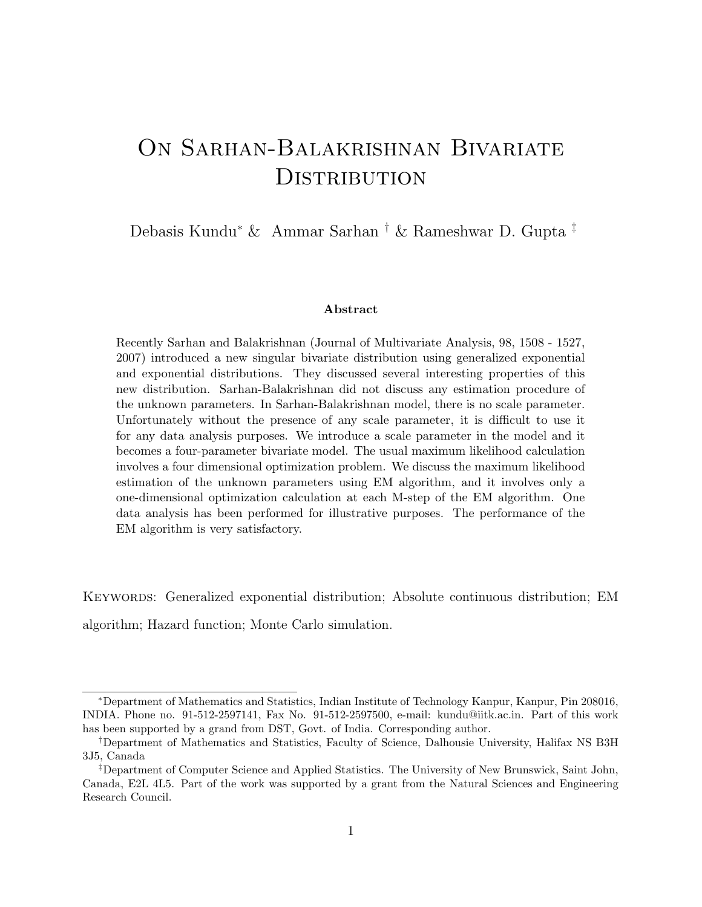# On Sarhan-Balakrishnan Bivariate **DISTRIBUTION**

Debasis Kundu<sup>∗</sup> & Ammar Sarhan † & Rameshwar D. Gupta ‡

#### Abstract

Recently Sarhan and Balakrishnan (Journal of Multivariate Analysis, 98, 1508 - 1527, 2007) introduced a new singular bivariate distribution using generalized exponential and exponential distributions. They discussed several interesting properties of this new distribution. Sarhan-Balakrishnan did not discuss any estimation procedure of the unknown parameters. In Sarhan-Balakrishnan model, there is no scale parameter. Unfortunately without the presence of any scale parameter, it is difficult to use it for any data analysis purposes. We introduce a scale parameter in the model and it becomes a four-parameter bivariate model. The usual maximum likelihood calculation involves a four dimensional optimization problem. We discuss the maximum likelihood estimation of the unknown parameters using EM algorithm, and it involves only a one-dimensional optimization calculation at each M-step of the EM algorithm. One data analysis has been performed for illustrative purposes. The performance of the EM algorithm is very satisfactory.

Keywords: Generalized exponential distribution; Absolute continuous distribution; EM algorithm; Hazard function; Monte Carlo simulation.

<sup>∗</sup>Department of Mathematics and Statistics, Indian Institute of Technology Kanpur, Kanpur, Pin 208016, INDIA. Phone no. 91-512-2597141, Fax No. 91-512-2597500, e-mail: kundu@iitk.ac.in. Part of this work has been supported by a grand from DST, Govt. of India. Corresponding author.

<sup>†</sup>Department of Mathematics and Statistics, Faculty of Science, Dalhousie University, Halifax NS B3H 3J5, Canada

<sup>‡</sup>Department of Computer Science and Applied Statistics. The University of New Brunswick, Saint John, Canada, E2L 4L5. Part of the work was supported by a grant from the Natural Sciences and Engineering Research Council.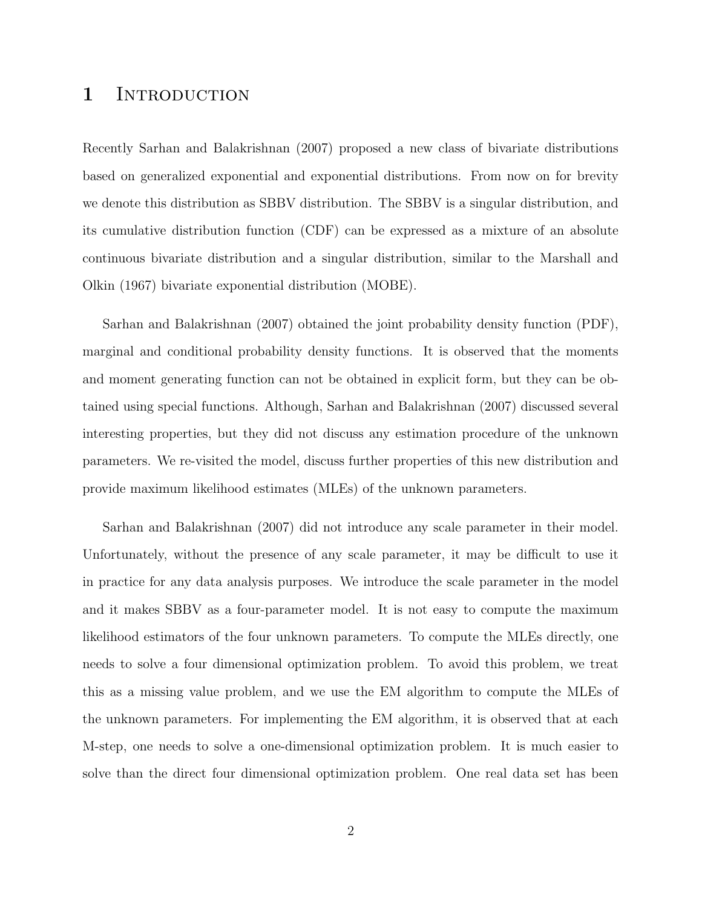### 1 INTRODUCTION

Recently Sarhan and Balakrishnan (2007) proposed a new class of bivariate distributions based on generalized exponential and exponential distributions. From now on for brevity we denote this distribution as SBBV distribution. The SBBV is a singular distribution, and its cumulative distribution function (CDF) can be expressed as a mixture of an absolute continuous bivariate distribution and a singular distribution, similar to the Marshall and Olkin (1967) bivariate exponential distribution (MOBE).

Sarhan and Balakrishnan (2007) obtained the joint probability density function (PDF), marginal and conditional probability density functions. It is observed that the moments and moment generating function can not be obtained in explicit form, but they can be obtained using special functions. Although, Sarhan and Balakrishnan (2007) discussed several interesting properties, but they did not discuss any estimation procedure of the unknown parameters. We re-visited the model, discuss further properties of this new distribution and provide maximum likelihood estimates (MLEs) of the unknown parameters.

Sarhan and Balakrishnan (2007) did not introduce any scale parameter in their model. Unfortunately, without the presence of any scale parameter, it may be difficult to use it in practice for any data analysis purposes. We introduce the scale parameter in the model and it makes SBBV as a four-parameter model. It is not easy to compute the maximum likelihood estimators of the four unknown parameters. To compute the MLEs directly, one needs to solve a four dimensional optimization problem. To avoid this problem, we treat this as a missing value problem, and we use the EM algorithm to compute the MLEs of the unknown parameters. For implementing the EM algorithm, it is observed that at each M-step, one needs to solve a one-dimensional optimization problem. It is much easier to solve than the direct four dimensional optimization problem. One real data set has been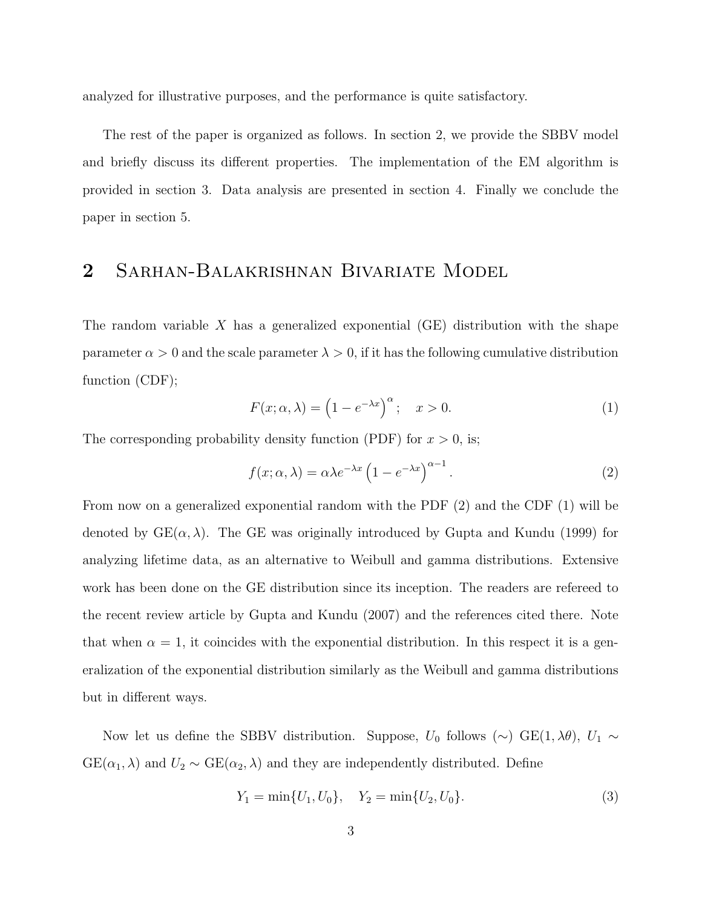analyzed for illustrative purposes, and the performance is quite satisfactory.

The rest of the paper is organized as follows. In section 2, we provide the SBBV model and briefly discuss its different properties. The implementation of the EM algorithm is provided in section 3. Data analysis are presented in section 4. Finally we conclude the paper in section 5.

### 2 Sarhan-Balakrishnan Bivariate Model

The random variable X has a generalized exponential  $(GE)$  distribution with the shape parameter  $\alpha > 0$  and the scale parameter  $\lambda > 0$ , if it has the following cumulative distribution function (CDF);

$$
F(x; \alpha, \lambda) = \left(1 - e^{-\lambda x}\right)^{\alpha}; \quad x > 0.
$$
 (1)

The corresponding probability density function (PDF) for  $x > 0$ , is;

$$
f(x; \alpha, \lambda) = \alpha \lambda e^{-\lambda x} \left( 1 - e^{-\lambda x} \right)^{\alpha - 1}.
$$
 (2)

From now on a generalized exponential random with the PDF (2) and the CDF (1) will be denoted by  $GE(\alpha, \lambda)$ . The GE was originally introduced by Gupta and Kundu (1999) for analyzing lifetime data, as an alternative to Weibull and gamma distributions. Extensive work has been done on the GE distribution since its inception. The readers are refereed to the recent review article by Gupta and Kundu (2007) and the references cited there. Note that when  $\alpha = 1$ , it coincides with the exponential distribution. In this respect it is a generalization of the exponential distribution similarly as the Weibull and gamma distributions but in different ways.

Now let us define the SBBV distribution. Suppose,  $U_0$  follows (∼) GE(1,  $\lambda \theta$ ),  $U_1 \sim$  $GE(\alpha_1, \lambda)$  and  $U_2 \sim GE(\alpha_2, \lambda)$  and they are independently distributed. Define

$$
Y_1 = \min\{U_1, U_0\}, \quad Y_2 = \min\{U_2, U_0\}.\tag{3}
$$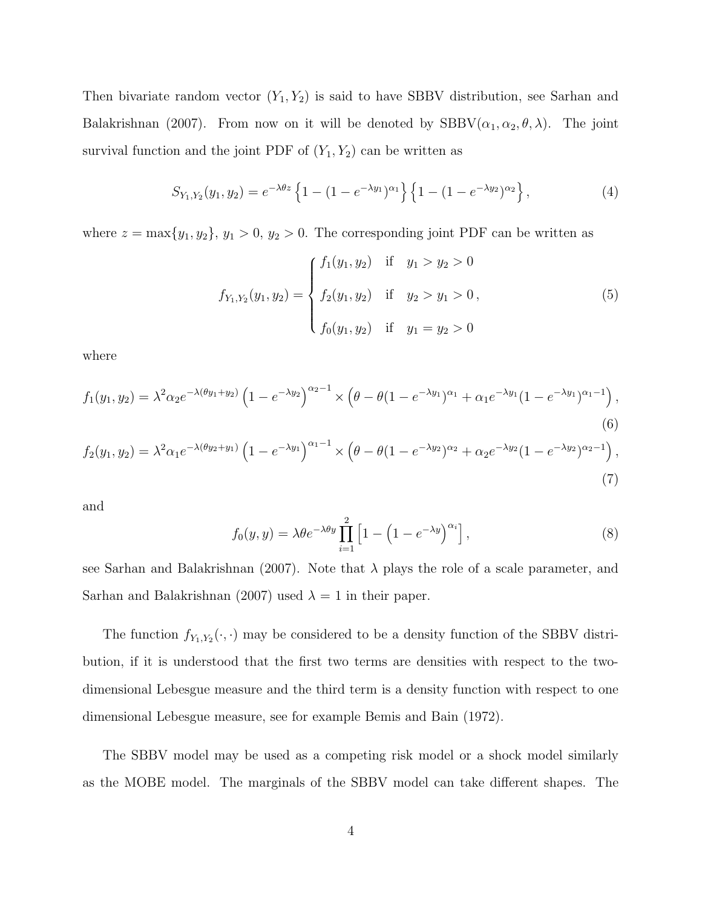Then bivariate random vector  $(Y_1, Y_2)$  is said to have SBBV distribution, see Sarhan and Balakrishnan (2007). From now on it will be denoted by  $SBBV(\alpha_1, \alpha_2, \theta, \lambda)$ . The joint survival function and the joint PDF of  $(Y_1, Y_2)$  can be written as

$$
S_{Y_1,Y_2}(y_1,y_2) = e^{-\lambda \theta z} \left\{ 1 - (1 - e^{-\lambda y_1})^{\alpha_1} \right\} \left\{ 1 - (1 - e^{-\lambda y_2})^{\alpha_2} \right\},\tag{4}
$$

where  $z = \max\{y_1, y_2\}, y_1 > 0, y_2 > 0$ . The corresponding joint PDF can be written as

$$
f_{Y_1,Y_2}(y_1, y_2) = \begin{cases} f_1(y_1, y_2) & \text{if } y_1 > y_2 > 0 \\ f_2(y_1, y_2) & \text{if } y_2 > y_1 > 0, \\ f_0(y_1, y_2) & \text{if } y_1 = y_2 > 0 \end{cases}
$$
 (5)

where

$$
f_1(y_1, y_2) = \lambda^2 \alpha_2 e^{-\lambda(\theta y_1 + y_2)} \left( 1 - e^{-\lambda y_2} \right)^{\alpha_2 - 1} \times \left( \theta - \theta (1 - e^{-\lambda y_1})^{\alpha_1} + \alpha_1 e^{-\lambda y_1} (1 - e^{-\lambda y_1})^{\alpha_1 - 1} \right),\tag{6}
$$

$$
f_2(y_1, y_2) = \lambda^2 \alpha_1 e^{-\lambda(\theta y_2 + y_1)} \left( 1 - e^{-\lambda y_1} \right)^{\alpha_1 - 1} \times \left( \theta - \theta (1 - e^{-\lambda y_2})^{\alpha_2} + \alpha_2 e^{-\lambda y_2} (1 - e^{-\lambda y_2})^{\alpha_2 - 1} \right),
$$
\n(7)

and

$$
f_0(y, y) = \lambda \theta e^{-\lambda \theta y} \prod_{i=1}^{2} \left[ 1 - \left( 1 - e^{-\lambda y} \right)^{\alpha_i} \right],
$$
 (8)

see Sarhan and Balakrishnan (2007). Note that  $\lambda$  plays the role of a scale parameter, and Sarhan and Balakrishnan (2007) used  $\lambda = 1$  in their paper.

The function  $f_{Y_1,Y_2}(\cdot,\cdot)$  may be considered to be a density function of the SBBV distribution, if it is understood that the first two terms are densities with respect to the twodimensional Lebesgue measure and the third term is a density function with respect to one dimensional Lebesgue measure, see for example Bemis and Bain (1972).

The SBBV model may be used as a competing risk model or a shock model similarly as the MOBE model. The marginals of the SBBV model can take different shapes. The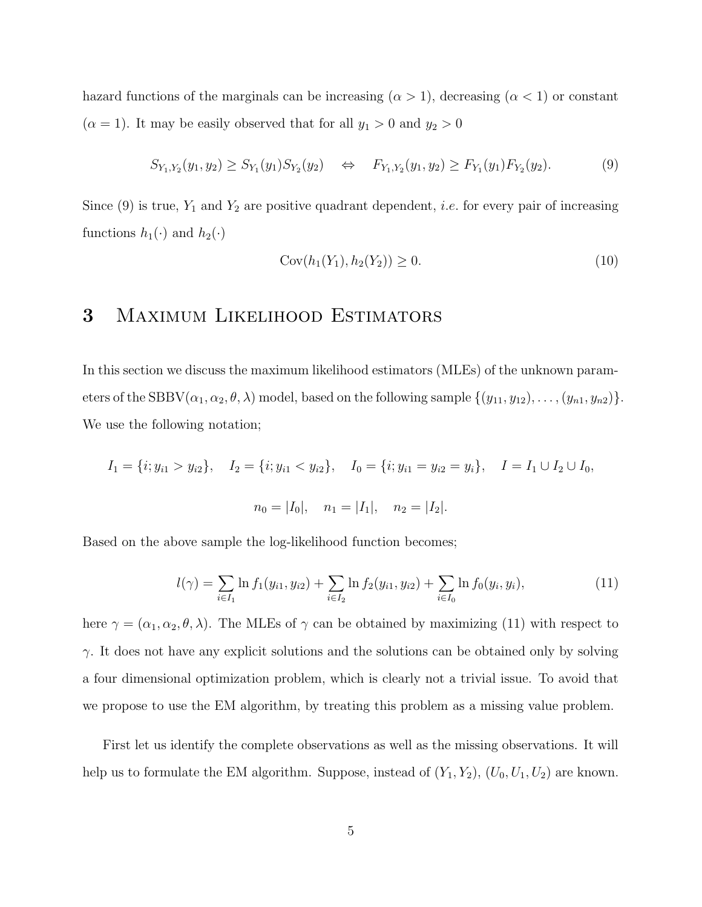hazard functions of the marginals can be increasing  $(\alpha > 1)$ , decreasing  $(\alpha < 1)$  or constant  $(\alpha = 1)$ . It may be easily observed that for all  $y_1 > 0$  and  $y_2 > 0$ 

$$
S_{Y_1,Y_2}(y_1,y_2) \ge S_{Y_1}(y_1)S_{Y_2}(y_2) \quad \Leftrightarrow \quad F_{Y_1,Y_2}(y_1,y_2) \ge F_{Y_1}(y_1)F_{Y_2}(y_2). \tag{9}
$$

Since (9) is true,  $Y_1$  and  $Y_2$  are positive quadrant dependent, *i.e.* for every pair of increasing functions  $h_1(\cdot)$  and  $h_2(\cdot)$ 

$$
Cov(h_1(Y_1), h_2(Y_2)) \ge 0.
$$
\n(10)

### 3 Maximum Likelihood Estimators

In this section we discuss the maximum likelihood estimators (MLEs) of the unknown parameters of the SBBV( $\alpha_1, \alpha_2, \theta, \lambda$ ) model, based on the following sample  $\{(y_{11}, y_{12}), \ldots, (y_{n1}, y_{n2})\}.$ We use the following notation;

$$
I_1 = \{i; y_{i1} > y_{i2}\}, \quad I_2 = \{i; y_{i1} < y_{i2}\}, \quad I_0 = \{i; y_{i1} = y_{i2} = y_i\}, \quad I = I_1 \cup I_2 \cup I_0,
$$
  

$$
n_0 = |I_0|, \quad n_1 = |I_1|, \quad n_2 = |I_2|.
$$

Based on the above sample the log-likelihood function becomes;

$$
l(\gamma) = \sum_{i \in I_1} \ln f_1(y_{i1}, y_{i2}) + \sum_{i \in I_2} \ln f_2(y_{i1}, y_{i2}) + \sum_{i \in I_0} \ln f_0(y_i, y_i), \tag{11}
$$

here  $\gamma = (\alpha_1, \alpha_2, \theta, \lambda)$ . The MLEs of  $\gamma$  can be obtained by maximizing (11) with respect to  $\gamma$ . It does not have any explicit solutions and the solutions can be obtained only by solving a four dimensional optimization problem, which is clearly not a trivial issue. To avoid that we propose to use the EM algorithm, by treating this problem as a missing value problem.

First let us identify the complete observations as well as the missing observations. It will help us to formulate the EM algorithm. Suppose, instead of  $(Y_1, Y_2)$ ,  $(U_0, U_1, U_2)$  are known.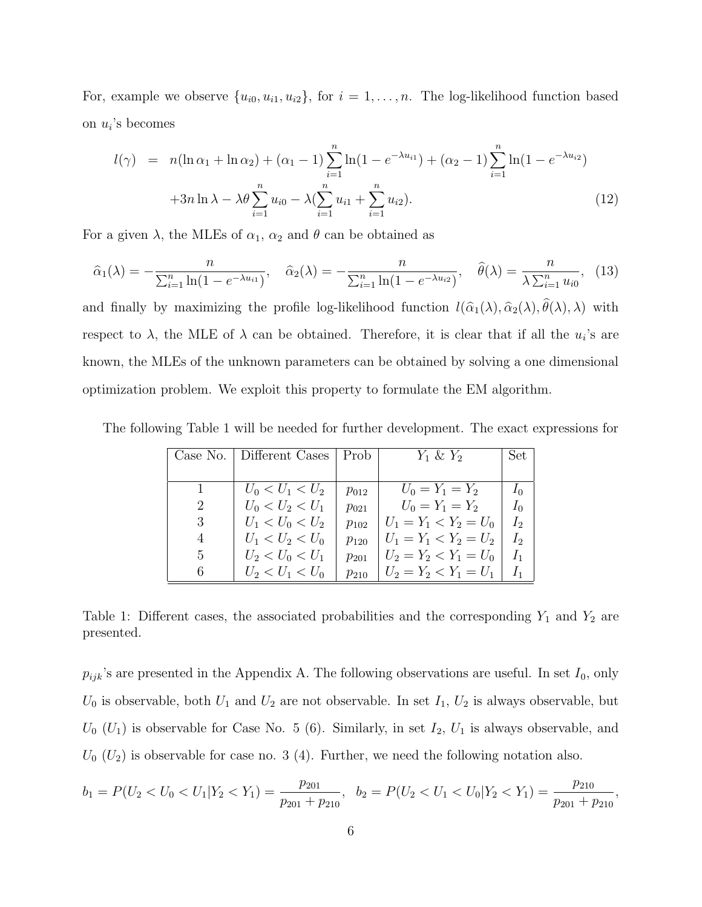For, example we observe  $\{u_{i0}, u_{i1}, u_{i2}\}$ , for  $i = 1, \ldots, n$ . The log-likelihood function based on  $u_i$ 's becomes

$$
l(\gamma) = n(\ln \alpha_1 + \ln \alpha_2) + (\alpha_1 - 1) \sum_{i=1}^n \ln(1 - e^{-\lambda u_{i1}}) + (\alpha_2 - 1) \sum_{i=1}^n \ln(1 - e^{-\lambda u_{i2}})
$$
  
+3n \ln \lambda - \lambda \theta \sum\_{i=1}^n u\_{i0} - \lambda (\sum\_{i=1}^n u\_{i1} + \sum\_{i=1}^n u\_{i2}). (12)

For a given  $\lambda$ , the MLEs of  $\alpha_1$ ,  $\alpha_2$  and  $\theta$  can be obtained as

$$
\hat{\alpha}_1(\lambda) = -\frac{n}{\sum_{i=1}^n \ln(1 - e^{-\lambda u_{i1}})}, \quad \hat{\alpha}_2(\lambda) = -\frac{n}{\sum_{i=1}^n \ln(1 - e^{-\lambda u_{i2}})}, \quad \hat{\theta}(\lambda) = \frac{n}{\lambda \sum_{i=1}^n u_{i0}}, \quad (13)
$$

and finally by maximizing the profile log-likelihood function  $l(\hat{\alpha}_1(\lambda), \hat{\alpha}_2(\lambda), \theta(\lambda), \lambda)$  with respect to  $\lambda$ , the MLE of  $\lambda$  can be obtained. Therefore, it is clear that if all the  $u_i$ 's are known, the MLEs of the unknown parameters can be obtained by solving a one dimensional optimization problem. We exploit this property to formulate the EM algorithm.

The following Table 1 will be needed for further development. The exact expressions for

|              | Case No.   Different Cases | <b>Prob</b> | $Y_1 \& Y_2$            | Set.  |
|--------------|----------------------------|-------------|-------------------------|-------|
|              |                            |             |                         |       |
|              | $U_0 < U_1 < U_2$          | $p_{012}$   | $U_0 = Y_1 = Y_2$       | $I_0$ |
| $\mathbf{2}$ | $U_0 < U_2 < U_1$          | $p_{021}$   | $U_0 = Y_1 = Y_2$       | $I_0$ |
| 3            | $U_1 < U_0 < U_2$          | $p_{102}$   | $U_1 = Y_1 < Y_2 = U_0$ | $I_2$ |
| 4            | $U_1 < U_2 < U_0$          | $p_{120}$   | $U_1 = Y_1 < Y_2 = U_2$ | $I_2$ |
| $5^{\circ}$  | $U_2 < U_0 < U_1$          | $p_{201}$   | $U_2 = Y_2 < Y_1 = U_0$ | $I_1$ |
| 6.           | $U_2 < U_1 < U_0$          | $p_{210}$   | $U_2 = Y_2 < Y_1 = U_1$ | $I_1$ |

Table 1: Different cases, the associated probabilities and the corresponding  $Y_1$  and  $Y_2$  are presented.

 $p_{ijk}$ 's are presented in the Appendix A. The following observations are useful. In set  $I_0$ , only  $U_0$  is observable, both  $U_1$  and  $U_2$  are not observable. In set  $I_1$ ,  $U_2$  is always observable, but  $U_0$  ( $U_1$ ) is observable for Case No. 5 (6). Similarly, in set  $I_2$ ,  $U_1$  is always observable, and  $U_0$  ( $U_2$ ) is observable for case no. 3 (4). Further, we need the following notation also.

$$
b_1 = P(U_2 < U_0 < U_1 | Y_2 < Y_1) = \frac{p_{201}}{p_{201} + p_{210}}, \quad b_2 = P(U_2 < U_1 < U_0 | Y_2 < Y_1) = \frac{p_{210}}{p_{201} + p_{210}},
$$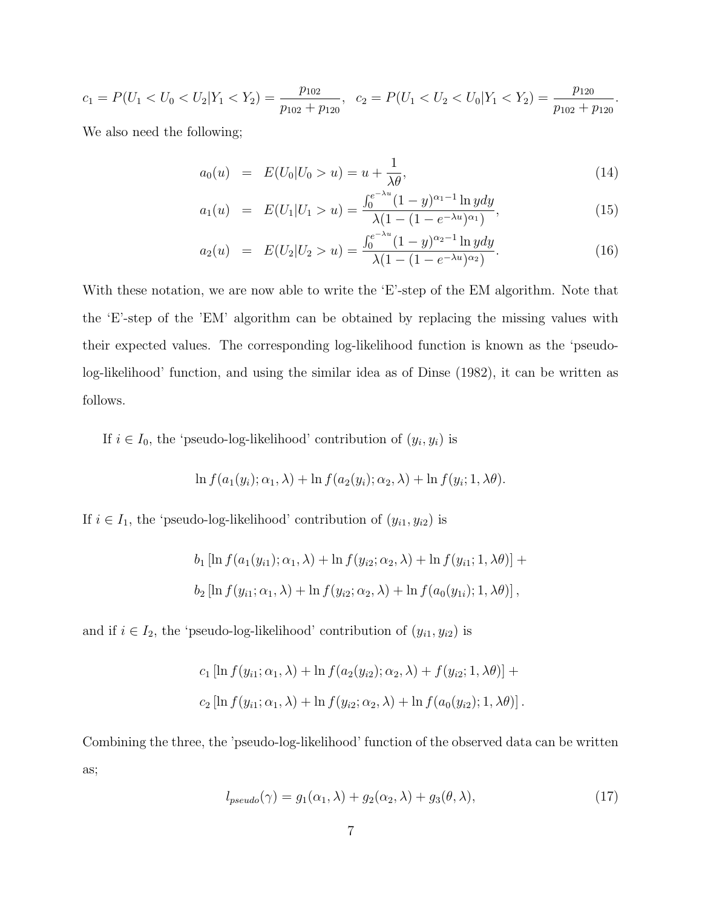$$
c_1 = P(U_1 < U_0 < U_2 | Y_1 < Y_2) = \frac{p_{102}}{p_{102} + p_{120}}, \quad c_2 = P(U_1 < U_2 < U_0 | Y_1 < Y_2) = \frac{p_{120}}{p_{102} + p_{120}}.
$$

We also need the following;

$$
a_0(u) = E(U_0|U_0 > u) = u + \frac{1}{\lambda \theta}, \qquad (14)
$$

$$
a_1(u) = E(U_1|U_1 > u) = \frac{\int_0^{e^{-\lambda u}} (1 - y)^{\alpha_1 - 1} \ln y dy}{\lambda (1 - (1 - e^{-\lambda u})^{\alpha_1})},
$$
\n(15)

$$
a_2(u) = E(U_2|U_2 > u) = \frac{\int_0^{e^{-\lambda u}} (1 - y)^{\alpha_2 - 1} \ln y dy}{\lambda (1 - (1 - e^{-\lambda u})^{\alpha_2})}.
$$
 (16)

With these notation, we are now able to write the 'E'-step of the EM algorithm. Note that the 'E'-step of the 'EM' algorithm can be obtained by replacing the missing values with their expected values. The corresponding log-likelihood function is known as the 'pseudolog-likelihood' function, and using the similar idea as of Dinse (1982), it can be written as follows.

If  $i \in I_0$ , the 'pseudo-log-likelihood' contribution of  $(y_i, y_i)$  is

$$
\ln f(a_1(y_i); \alpha_1, \lambda) + \ln f(a_2(y_i); \alpha_2, \lambda) + \ln f(y_i; 1, \lambda \theta).
$$

If  $i \in I_1$ , the 'pseudo-log-likelihood' contribution of  $(y_{i1}, y_{i2})$  is

$$
b_1 [\ln f(a_1(y_{i1}); \alpha_1, \lambda) + \ln f(y_{i2}; \alpha_2, \lambda) + \ln f(y_{i1}; 1, \lambda \theta)] +
$$
  

$$
b_2 [\ln f(y_{i1}; \alpha_1, \lambda) + \ln f(y_{i2}; \alpha_2, \lambda) + \ln f(a_0(y_{1i}); 1, \lambda \theta)],
$$

and if  $i \in I_2$ , the 'pseudo-log-likelihood' contribution of  $(y_{i1}, y_{i2})$  is

$$
c_1 [\ln f(y_{i1}; \alpha_1, \lambda) + \ln f(a_2(y_{i2}); \alpha_2, \lambda) + f(y_{i2}; 1, \lambda\theta)] +
$$
  

$$
c_2 [\ln f(y_{i1}; \alpha_1, \lambda) + \ln f(y_{i2}; \alpha_2, \lambda) + \ln f(a_0(y_{i2}); 1, \lambda\theta)].
$$

Combining the three, the 'pseudo-log-likelihood' function of the observed data can be written as;

$$
l_{pseudo}(\gamma) = g_1(\alpha_1, \lambda) + g_2(\alpha_2, \lambda) + g_3(\theta, \lambda), \qquad (17)
$$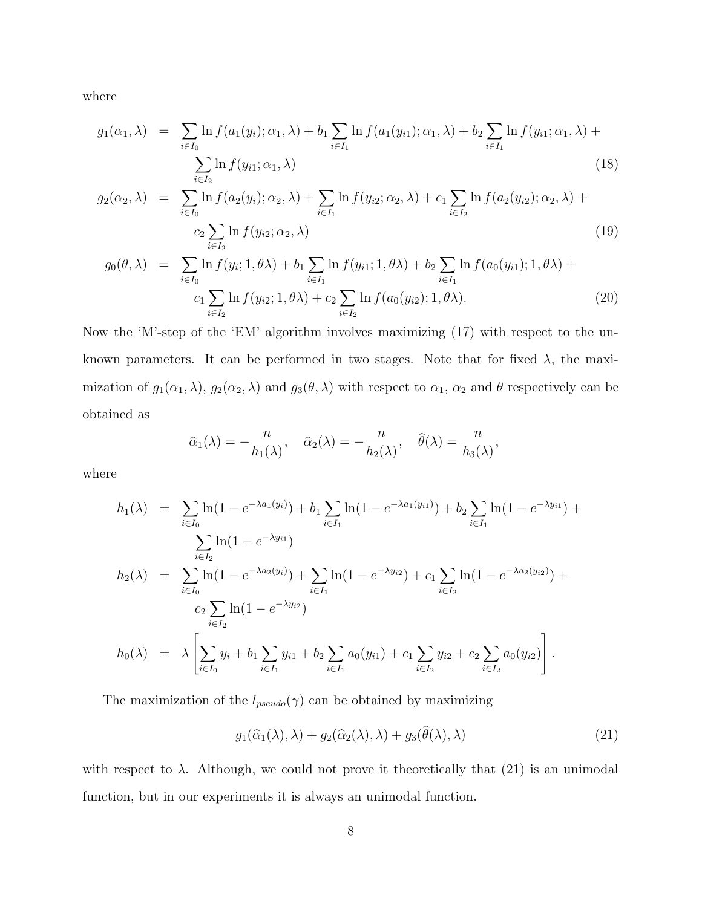where

$$
g_1(\alpha_1, \lambda) = \sum_{i \in I_0} \ln f(a_1(y_i); \alpha_1, \lambda) + b_1 \sum_{i \in I_1} \ln f(a_1(y_{i1}); \alpha_1, \lambda) + b_2 \sum_{i \in I_1} \ln f(y_{i1}; \alpha_1, \lambda) + \sum_{i \in I_2} \ln f(y_{i1}; \alpha_1, \lambda)
$$
\n(18)

$$
g_2(\alpha_2, \lambda) = \sum_{i \in I_0} \ln f(a_2(y_i); \alpha_2, \lambda) + \sum_{i \in I_1} \ln f(y_{i2}; \alpha_2, \lambda) + c_1 \sum_{i \in I_2} \ln f(a_2(y_{i2}); \alpha_2, \lambda) + c_2 \sum_{i \in I_2} \ln f(y_{i2}; \alpha_2, \lambda)
$$
\n(19)

$$
g_0(\theta, \lambda) = \sum_{i \in I_0} \ln f(y_i; 1, \theta \lambda) + b_1 \sum_{i \in I_1} \ln f(y_{i1}; 1, \theta \lambda) + b_2 \sum_{i \in I_1} \ln f(a_0(y_{i1}); 1, \theta \lambda) + c_1 \sum_{i \in I_2} \ln f(y_{i2}; 1, \theta \lambda) + c_2 \sum_{i \in I_2} \ln f(a_0(y_{i2}); 1, \theta \lambda).
$$
 (20)

Now the 'M'-step of the 'EM' algorithm involves maximizing (17) with respect to the unknown parameters. It can be performed in two stages. Note that for fixed  $\lambda$ , the maximization of  $g_1(\alpha_1, \lambda)$ ,  $g_2(\alpha_2, \lambda)$  and  $g_3(\theta, \lambda)$  with respect to  $\alpha_1$ ,  $\alpha_2$  and  $\theta$  respectively can be obtained as

$$
\widehat{\alpha}_1(\lambda) = -\frac{n}{h_1(\lambda)}, \quad \widehat{\alpha}_2(\lambda) = -\frac{n}{h_2(\lambda)}, \quad \widehat{\theta}(\lambda) = \frac{n}{h_3(\lambda)},
$$

where

$$
h_1(\lambda) = \sum_{i \in I_0} \ln(1 - e^{-\lambda a_1(y_i)}) + b_1 \sum_{i \in I_1} \ln(1 - e^{-\lambda a_1(y_i)}) + b_2 \sum_{i \in I_1} \ln(1 - e^{-\lambda y_i}) + \sum_{i \in I_2} \ln(1 - e^{-\lambda y_i})
$$
  
\n
$$
h_2(\lambda) = \sum_{i \in I_0} \ln(1 - e^{-\lambda a_2(y_i)}) + \sum_{i \in I_1} \ln(1 - e^{-\lambda y_i}) + c_1 \sum_{i \in I_2} \ln(1 - e^{-\lambda a_2(y_i)}) + c_2 \sum_{i \in I_2} \ln(1 - e^{-\lambda a_2(y_i)}) + \sum_{i \in I_2} \ln(1 - e^{-\lambda y_i})
$$
  
\n
$$
h_0(\lambda) = \lambda \left[ \sum_{i \in I_0} y_i + b_1 \sum_{i \in I_1} y_{i1} + b_2 \sum_{i \in I_1} a_0(y_{i1}) + c_1 \sum_{i \in I_2} y_{i2} + c_2 \sum_{i \in I_2} a_0(y_{i2}) \right].
$$

The maximization of the  $l_{pseudo}(\gamma)$  can be obtained by maximizing

$$
g_1(\widehat{\alpha}_1(\lambda), \lambda) + g_2(\widehat{\alpha}_2(\lambda), \lambda) + g_3(\widehat{\theta}(\lambda), \lambda)
$$
\n(21)

with respect to  $\lambda$ . Although, we could not prove it theoretically that (21) is an unimodal function, but in our experiments it is always an unimodal function.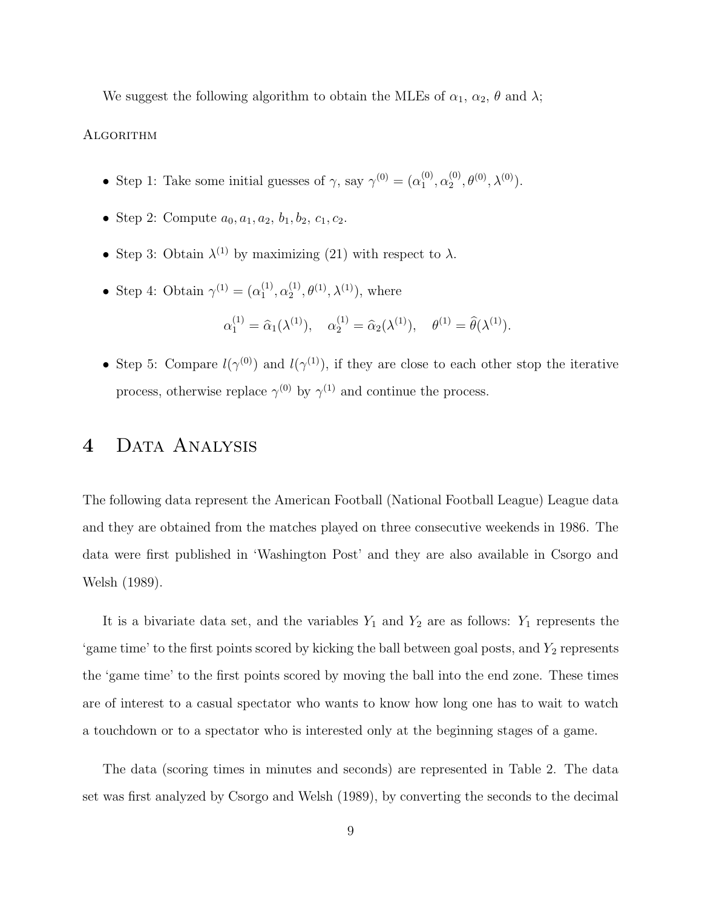We suggest the following algorithm to obtain the MLEs of  $\alpha_1$ ,  $\alpha_2$ ,  $\theta$  and  $\lambda$ ;

#### **ALGORITHM**

- Step 1: Take some initial guesses of  $\gamma$ , say  $\gamma^{(0)} = (\alpha_1^{(0)})$  $\overset{(0)}{1},\overset{(0)}{\alpha_2^{(0)}}$  $2^{(0)}, \theta^{(0)}, \lambda^{(0)}$ .
- Step 2: Compute  $a_0, a_1, a_2, b_1, b_2, c_1, c_2$ .
- Step 3: Obtain  $\lambda^{(1)}$  by maximizing (21) with respect to  $\lambda$ .
- Step 4: Obtain  $\gamma^{(1)} = (\alpha_1^{(1)})$  $\overset{(1)}{1},\overset{(1)}{\alpha_2^{(1)}}$  $2^{(1)}, \theta^{(1)}, \lambda^{(1)}$ , where

$$
\alpha_1^{(1)} = \hat{\alpha}_1(\lambda^{(1)}), \quad \alpha_2^{(1)} = \hat{\alpha}_2(\lambda^{(1)}), \quad \theta^{(1)} = \hat{\theta}(\lambda^{(1)}).
$$

• Step 5: Compare  $l(\gamma^{(0)})$  and  $l(\gamma^{(1)})$ , if they are close to each other stop the iterative process, otherwise replace  $\gamma^{(0)}$  by  $\gamma^{(1)}$  and continue the process.

### 4 DATA ANALYSIS

The following data represent the American Football (National Football League) League data and they are obtained from the matches played on three consecutive weekends in 1986. The data were first published in 'Washington Post' and they are also available in Csorgo and Welsh (1989).

It is a bivariate data set, and the variables  $Y_1$  and  $Y_2$  are as follows:  $Y_1$  represents the 'game time' to the first points scored by kicking the ball between goal posts, and  $Y_2$  represents the 'game time' to the first points scored by moving the ball into the end zone. These times are of interest to a casual spectator who wants to know how long one has to wait to watch a touchdown or to a spectator who is interested only at the beginning stages of a game.

The data (scoring times in minutes and seconds) are represented in Table 2. The data set was first analyzed by Csorgo and Welsh (1989), by converting the seconds to the decimal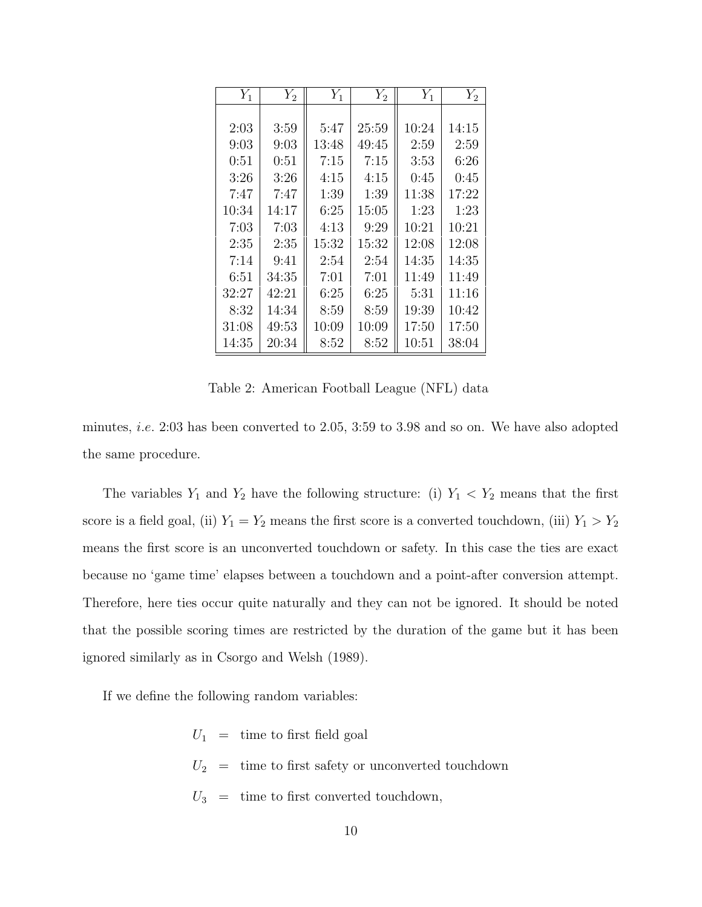| $Y_1$ | $Y_2$ | $Y_1$ | $\overline{Y}_2$ | $Y_1$ | $Y_2$ |
|-------|-------|-------|------------------|-------|-------|
|       |       |       |                  |       |       |
| 2:03  | 3:59  | 5:47  | 25:59            | 10:24 | 14:15 |
| 9:03  | 9:03  | 13:48 | 49:45            | 2:59  | 2:59  |
| 0:51  | 0:51  | 7:15  | 7:15             | 3:53  | 6:26  |
| 3:26  | 3:26  | 4:15  | 4:15             | 0:45  | 0:45  |
| 7:47  | 7:47  | 1:39  | 1:39             | 11:38 | 17:22 |
| 10:34 | 14:17 | 6:25  | 15:05            | 1:23  | 1:23  |
| 7:03  | 7:03  | 4:13  | 9:29             | 10:21 | 10:21 |
| 2:35  | 2:35  | 15:32 | 15:32            | 12:08 | 12:08 |
| 7:14  | 9:41  | 2:54  | 2:54             | 14:35 | 14:35 |
| 6:51  | 34:35 | 7:01  | 7:01             | 11:49 | 11:49 |
| 32:27 | 42:21 | 6:25  | 6:25             | 5:31  | 11:16 |
| 8:32  | 14:34 | 8:59  | 8:59             | 19:39 | 10:42 |
| 31:08 | 49:53 | 10:09 | 10:09            | 17:50 | 17:50 |
| 14:35 | 20:34 | 8:52  | 8:52             | 10:51 | 38:04 |

Table 2: American Football League (NFL) data

minutes, i.e. 2:03 has been converted to 2.05, 3:59 to 3.98 and so on. We have also adopted the same procedure.

The variables  $Y_1$  and  $Y_2$  have the following structure: (i)  $Y_1 \lt Y_2$  means that the first score is a field goal, (ii)  $Y_1 = Y_2$  means the first score is a converted touchdown, (iii)  $Y_1 > Y_2$ means the first score is an unconverted touchdown or safety. In this case the ties are exact because no 'game time' elapses between a touchdown and a point-after conversion attempt. Therefore, here ties occur quite naturally and they can not be ignored. It should be noted that the possible scoring times are restricted by the duration of the game but it has been ignored similarly as in Csorgo and Welsh (1989).

If we define the following random variables:

 $U_1 \;\; = \;\;$  time to first field goal  $U_2$  = time to first safety or unconverted touchdown  $U_3$  = time to first converted touchdown,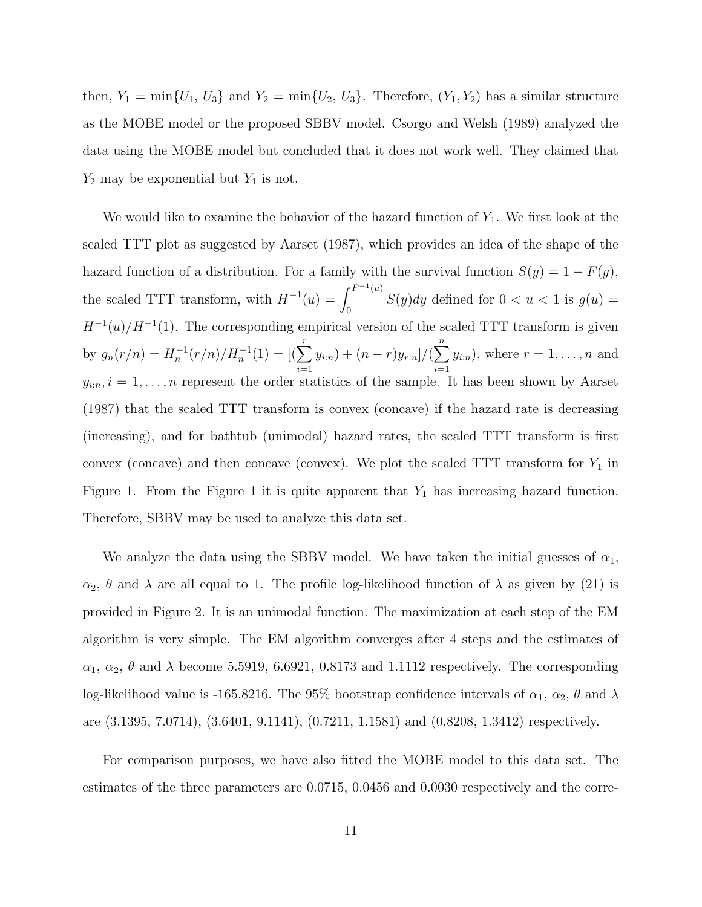then,  $Y_1 = \min\{U_1, U_3\}$  and  $Y_2 = \min\{U_2, U_3\}$ . Therefore,  $(Y_1, Y_2)$  has a similar structure as the MOBE model or the proposed SBBV model. Csorgo and Welsh (1989) analyzed the data using the MOBE model but concluded that it does not work well. They claimed that  $Y_2$  may be exponential but  $Y_1$  is not.

We would like to examine the behavior of the hazard function of  $Y_1$ . We first look at the scaled TTT plot as suggested by Aarset (1987), which provides an idea of the shape of the hazard function of a distribution. For a family with the survival function  $S(y) = 1 - F(y)$ , the scaled TTT transform, with  $H^{-1}(u) =$  $\int F^{-1}(u)$  $S(y)dy$  defined for  $0 < u < 1$  is  $g(u) = 0$  $H^{-1}(u)/H^{-1}(1)$ . The corresponding empirical version of the scaled TTT transform is given by  $g_n(r/n) = H_n^{-1}(r/n)/H_n^{-1}(1) = [(\sum_{r}^{r}$  $i=1$  $(y_{i:n}) + (n-r)y_{r:n}]/(\sum^{n}$  $i=1$  $y_{i:n}$ , where  $r = 1, \ldots, n$  and  $y_{i:n}, i = 1, \ldots, n$  represent the order statistics of the sample. It has been shown by Aarset (1987) that the scaled TTT transform is convex (concave) if the hazard rate is decreasing (increasing), and for bathtub (unimodal) hazard rates, the scaled TTT transform is first convex (concave) and then concave (convex). We plot the scaled  $TTT$  transform for  $Y_1$  in Figure 1. From the Figure 1 it is quite apparent that  $Y_1$  has increasing hazard function. Therefore, SBBV may be used to analyze this data set.

We analyze the data using the SBBV model. We have taken the initial guesses of  $\alpha_1$ ,  $\alpha_2$ ,  $\theta$  and  $\lambda$  are all equal to 1. The profile log-likelihood function of  $\lambda$  as given by (21) is provided in Figure 2. It is an unimodal function. The maximization at each step of the EM algorithm is very simple. The EM algorithm converges after 4 steps and the estimates of  $\alpha_1, \alpha_2, \theta$  and  $\lambda$  become 5.5919, 6.6921, 0.8173 and 1.1112 respectively. The corresponding log-likelihood value is -165.8216. The 95% bootstrap confidence intervals of  $\alpha_1$ ,  $\alpha_2$ ,  $\theta$  and  $\lambda$ are (3.1395, 7.0714), (3.6401, 9.1141), (0.7211, 1.1581) and (0.8208, 1.3412) respectively.

For comparison purposes, we have also fitted the MOBE model to this data set. The estimates of the three parameters are 0.0715, 0.0456 and 0.0030 respectively and the corre-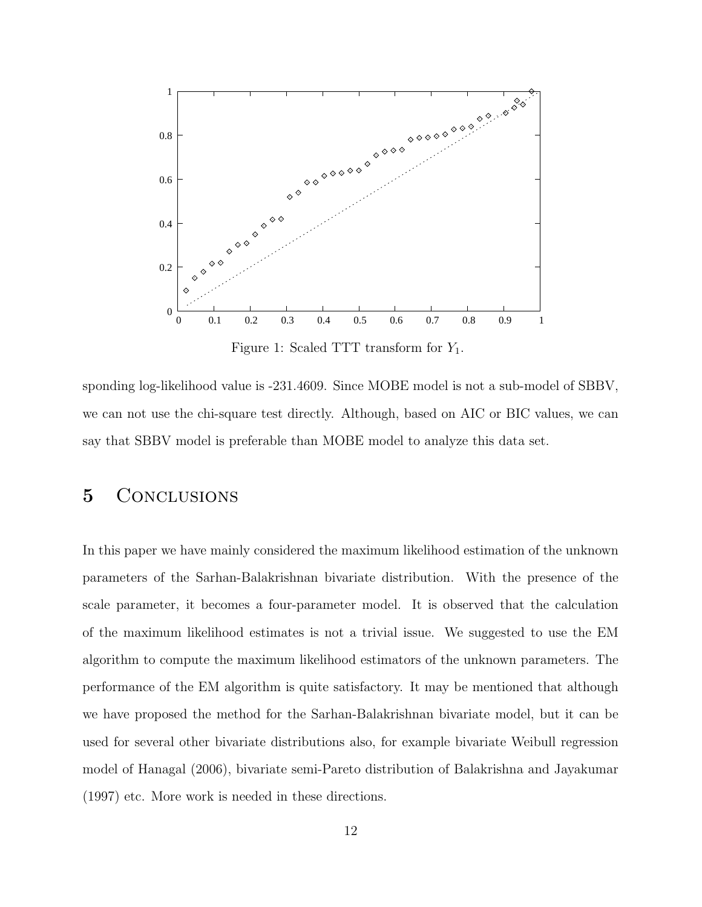

Figure 1: Scaled TTT transform for  $Y_1$ .

sponding log-likelihood value is -231.4609. Since MOBE model is not a sub-model of SBBV, we can not use the chi-square test directly. Although, based on AIC or BIC values, we can say that SBBV model is preferable than MOBE model to analyze this data set.

### 5 CONCLUSIONS

In this paper we have mainly considered the maximum likelihood estimation of the unknown parameters of the Sarhan-Balakrishnan bivariate distribution. With the presence of the scale parameter, it becomes a four-parameter model. It is observed that the calculation of the maximum likelihood estimates is not a trivial issue. We suggested to use the EM algorithm to compute the maximum likelihood estimators of the unknown parameters. The performance of the EM algorithm is quite satisfactory. It may be mentioned that although we have proposed the method for the Sarhan-Balakrishnan bivariate model, but it can be used for several other bivariate distributions also, for example bivariate Weibull regression model of Hanagal (2006), bivariate semi-Pareto distribution of Balakrishna and Jayakumar (1997) etc. More work is needed in these directions.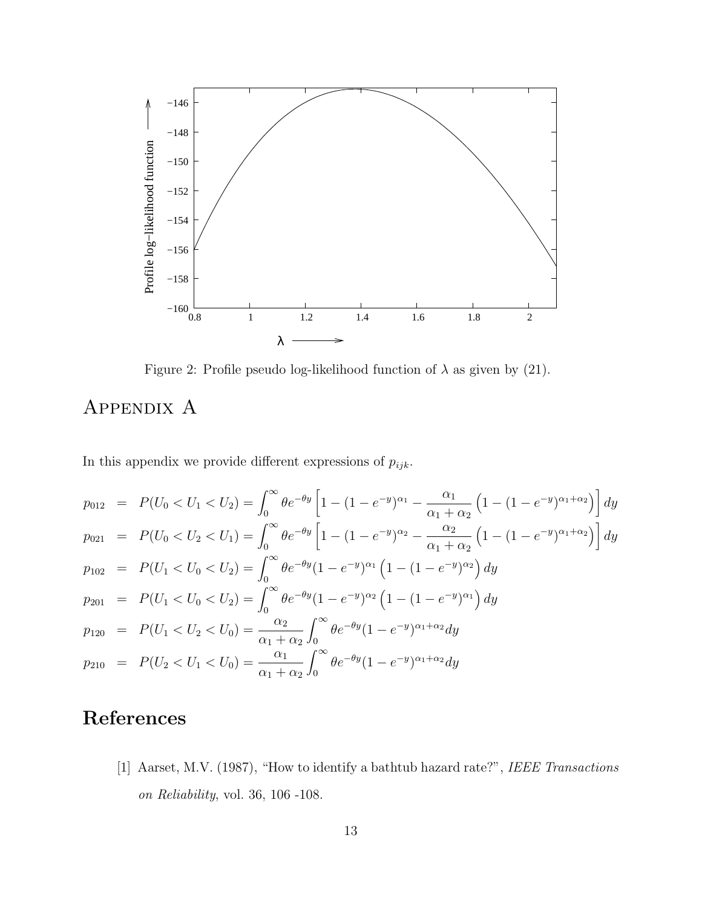

Figure 2: Profile pseudo log-likelihood function of  $\lambda$  as given by (21).

## APPENDIX A

In this appendix we provide different expressions of  $p_{ijk}$ .

$$
p_{012} = P(U_0 < U_1 < U_2) = \int_0^\infty \theta e^{-\theta y} \left[ 1 - (1 - e^{-y})^{\alpha_1} - \frac{\alpha_1}{\alpha_1 + \alpha_2} \left( 1 - (1 - e^{-y})^{\alpha_1 + \alpha_2} \right) \right] dy
$$
\n
$$
p_{021} = P(U_0 < U_2 < U_1) = \int_0^\infty \theta e^{-\theta y} \left[ 1 - (1 - e^{-y})^{\alpha_2} - \frac{\alpha_2}{\alpha_1 + \alpha_2} \left( 1 - (1 - e^{-y})^{\alpha_1 + \alpha_2} \right) \right] dy
$$
\n
$$
p_{102} = P(U_1 < U_0 < U_2) = \int_0^\infty \theta e^{-\theta y} (1 - e^{-y})^{\alpha_1} \left( 1 - (1 - e^{-y})^{\alpha_2} \right) dy
$$
\n
$$
p_{201} = P(U_1 < U_0 < U_2) = \int_0^\infty \theta e^{-\theta y} (1 - e^{-y})^{\alpha_2} \left( 1 - (1 - e^{-y})^{\alpha_1} \right) dy
$$
\n
$$
p_{120} = P(U_1 < U_2 < U_0) = \frac{\alpha_2}{\alpha_1 + \alpha_2} \int_0^\infty \theta e^{-\theta y} (1 - e^{-y})^{\alpha_1 + \alpha_2} dy
$$
\n
$$
p_{210} = P(U_2 < U_1 < U_0) = \frac{\alpha_1}{\alpha_1 + \alpha_2} \int_0^\infty \theta e^{-\theta y} (1 - e^{-y})^{\alpha_1 + \alpha_2} dy
$$

## References

[1] Aarset, M.V. (1987), "How to identify a bathtub hazard rate?", IEEE Transactions on Reliability, vol. 36, 106 -108.